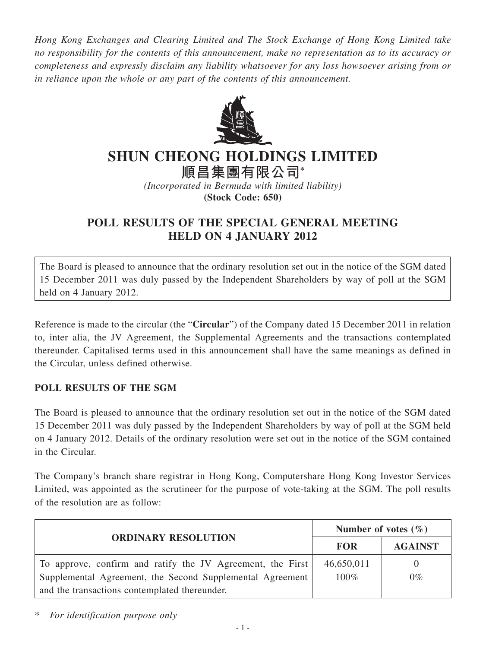*Hong Kong Exchanges and Clearing Limited and The Stock Exchange of Hong Kong Limited take no responsibility for the contents of this announcement, make no representation as to its accuracy or completeness and expressly disclaim any liability whatsoever for any loss howsoever arising from or in reliance upon the whole or any part of the contents of this announcement.*



## **SHUN CHEONG HOLDINGS LIMITED**

**順昌集團有限公司\***

*(Incorporated in Bermuda with limited liability)* **(Stock Code: 650)**

## **POLL RESULTS OF THE SPECIAL GENERAL MEETING HELD ON 4 JANUARY 2012**

The Board is pleased to announce that the ordinary resolution set out in the notice of the SGM dated 15 December 2011 was duly passed by the Independent Shareholders by way of poll at the SGM held on 4 January 2012.

Reference is made to the circular (the "**Circular**") of the Company dated 15 December 2011 in relation to, inter alia, the JV Agreement, the Supplemental Agreements and the transactions contemplated thereunder. Capitalised terms used in this announcement shall have the same meanings as defined in the Circular, unless defined otherwise.

## **POLL RESULTs OF THE SGM**

The Board is pleased to announce that the ordinary resolution set out in the notice of the SGM dated 15 December 2011 was duly passed by the Independent Shareholders by way of poll at the SGM held on 4 January 2012. Details of the ordinary resolution were set out in the notice of the SGM contained in the Circular.

The Company's branch share registrar in Hong Kong, Computershare Hong Kong Investor Services Limited, was appointed as the scrutineer for the purpose of vote-taking at the SGM. The poll results of the resolution are as follow:

| <b>ORDINARY RESOLUTION</b>                                 | Number of votes $(\% )$ |                |
|------------------------------------------------------------|-------------------------|----------------|
|                                                            | <b>FOR</b>              | <b>AGAINST</b> |
| To approve, confirm and ratify the JV Agreement, the First | 46,650,011              | $\theta$       |
| Supplemental Agreement, the Second Supplemental Agreement  | $100\%$                 | $0\%$          |
| and the transactions contemplated thereunder.              |                         |                |

\* *For identification purpose only*